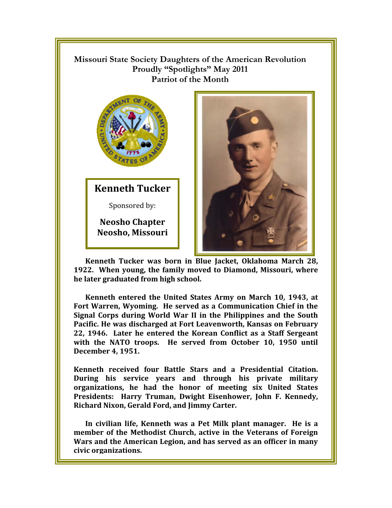## !!!!!!!!! **Missouri State Society Daughters of the American Revolution Proudly "Spotlights" May 2011 Patriot of the Month**



**Kenneth Tucker** Sponsored by:

**Neosho Chapter Neosho, Missouri** 



**Kenneth Tucker was born in Blue Jacket, Oklahoma March 28, 1922. When young, the family moved to Diamond, Missouri, where he later graduated from high school.** 

**Kenneth entered the United States Army on March 10, 1943, at Fort Warren, Wyoming. He served as a Communication Chief in the Signal Corps during World War II in the Philippines and the South Pacific. He was discharged at Fort Leavenworth, Kansas on February 22, 1946. Later he entered the Korean Conflict as a Staff Sergeant with the NATO troops. He served from October 10, 1950 until December 4, 1951.** 

**Kenneth received four Battle Stars and a Presidential Citation. During his service years and through his private military organizations, he had the honor of meeting six United States Presidents: Harry Truman, Dwight Eisenhower, John F. Kennedy, Richard Nixon, Gerald Ford, and Jimmy Carter.** 

**In civilian life, Kenneth was a Pet Milk plant manager. He is a member of the Methodist Church, active in the Veterans of Foreign Wars and the American Legion, and has served as an officer in many civic organizations.**